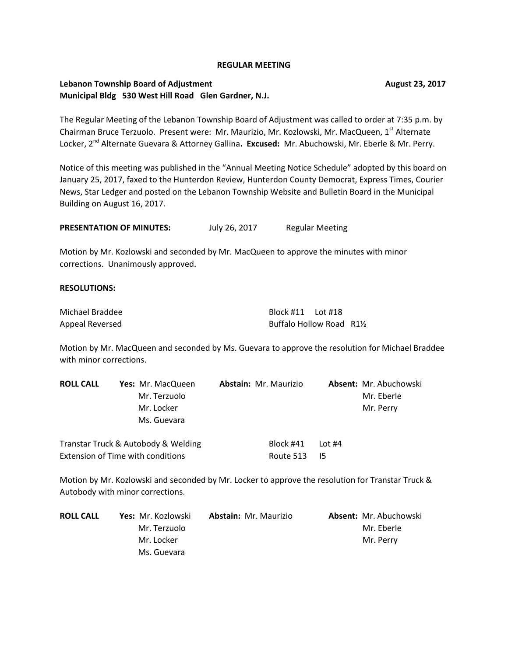### **REGULAR MEETING**

## **Lebanon Township Board of Adjustment Community Community Community Community Community Community Community Community Community Community Community Community Community Community Community Community Community Community Comm Municipal Bldg 530 West Hill Road Glen Gardner, N.J.**

The Regular Meeting of the Lebanon Township Board of Adjustment was called to order at 7:35 p.m. by Chairman Bruce Terzuolo. Present were: Mr. Maurizio, Mr. Kozlowski, Mr. MacQueen, 1<sup>st</sup> Alternate Locker, 2nd Alternate Guevara & Attorney Gallina**. Excused:** Mr. Abuchowski, Mr. Eberle & Mr. Perry.

Notice of this meeting was published in the "Annual Meeting Notice Schedule" adopted by this board on January 25, 2017, faxed to the Hunterdon Review, Hunterdon County Democrat, Express Times, Courier News, Star Ledger and posted on the Lebanon Township Website and Bulletin Board in the Municipal Building on August 16, 2017.

PRESENTATION OF MINUTES: July 26, 2017 Regular Meeting

Motion by Mr. Kozlowski and seconded by Mr. MacQueen to approve the minutes with minor corrections. Unanimously approved.

### **RESOLUTIONS:**

| Michael Braddee | Block #11 Lot #18       |  |
|-----------------|-------------------------|--|
| Appeal Reversed | Buffalo Hollow Road R1½ |  |

Extension of Time with conditions The Route 513 I5

Motion by Mr. MacQueen and seconded by Ms. Guevara to approve the resolution for Michael Braddee with minor corrections.

| <b>ROLL CALL</b> | Yes: Mr. MacQueen                   | <b>Abstain: Mr. Maurizio</b> | Absent: Mr. Abuchowski |
|------------------|-------------------------------------|------------------------------|------------------------|
|                  | Mr. Terzuolo                        |                              | Mr. Eberle             |
|                  | Mr. Locker                          |                              | Mr. Perry              |
|                  | Ms. Guevara                         |                              |                        |
|                  | Transtar Truck & Autobody & Welding | Block #41                    | Lot $#4$               |

Motion by Mr. Kozlowski and seconded by Mr. Locker to approve the resolution for Transtar Truck & Autobody with minor corrections.

| <b>ROLL CALL</b> | <b>Yes:</b> Mr. Kozlowski | <b>Abstain: Mr. Maurizio</b> | <b>Absent: Mr. Abuchowski</b> |
|------------------|---------------------------|------------------------------|-------------------------------|
|                  | Mr. Terzuolo              |                              | Mr. Eberle                    |
|                  | Mr. Locker                |                              | Mr. Perry                     |
|                  | Ms. Guevara               |                              |                               |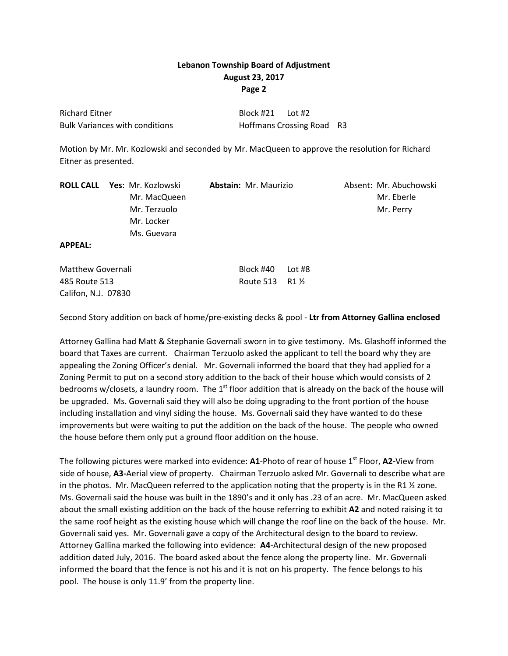| <b>Richard Eitner</b>                 | Block #21 Lot #2 |                           |  |
|---------------------------------------|------------------|---------------------------|--|
| <b>Bulk Variances with conditions</b> |                  | Hoffmans Crossing Road R3 |  |

Motion by Mr. Mr. Kozlowski and seconded by Mr. MacQueen to approve the resolution for Richard Eitner as presented.

|                | <b>ROLL CALL Yes: Mr. Kozlowski</b> | <b>Abstain: Mr. Maurizio</b> | Absent: Mr. Abuchowski |
|----------------|-------------------------------------|------------------------------|------------------------|
|                | Mr. MacQueen                        |                              | Mr. Eberle             |
|                | Mr. Terzuolo                        |                              | Mr. Perry              |
|                | Mr. Locker                          |                              |                        |
|                | Ms. Guevara                         |                              |                        |
| <b>APPEAL:</b> |                                     |                              |                        |

| <b>Matthew Governali</b> |  |
|--------------------------|--|
| 485 Route 513            |  |
| Califon, N.J. 07830      |  |

Second Story addition on back of home/pre-existing decks & pool - **Ltr from Attorney Gallina enclosed**

Block #40 Lot #8 Route 513 R1 1/2

Attorney Gallina had Matt & Stephanie Governali sworn in to give testimony. Ms. Glashoff informed the board that Taxes are current. Chairman Terzuolo asked the applicant to tell the board why they are appealing the Zoning Officer's denial. Mr. Governali informed the board that they had applied for a Zoning Permit to put on a second story addition to the back of their house which would consists of 2 bedrooms w/closets, a laundry room. The  $1<sup>st</sup>$  floor addition that is already on the back of the house will be upgraded. Ms. Governali said they will also be doing upgrading to the front portion of the house including installation and vinyl siding the house. Ms. Governali said they have wanted to do these improvements but were waiting to put the addition on the back of the house. The people who owned the house before them only put a ground floor addition on the house.

The following pictures were marked into evidence: **A1**-Photo of rear of house 1<sup>st</sup> Floor, **A2**-View from side of house, **A3-**Aerial view of property. Chairman Terzuolo asked Mr. Governali to describe what are in the photos. Mr. MacQueen referred to the application noting that the property is in the R1  $\frac{1}{2}$  zone. Ms. Governali said the house was built in the 1890's and it only has .23 of an acre. Mr. MacQueen asked about the small existing addition on the back of the house referring to exhibit **A2** and noted raising it to the same roof height as the existing house which will change the roof line on the back of the house. Mr. Governali said yes. Mr. Governali gave a copy of the Architectural design to the board to review. Attorney Gallina marked the following into evidence: **A4**-Architectural design of the new proposed addition dated July, 2016. The board asked about the fence along the property line. Mr. Governali informed the board that the fence is not his and it is not on his property. The fence belongs to his pool. The house is only 11.9' from the property line.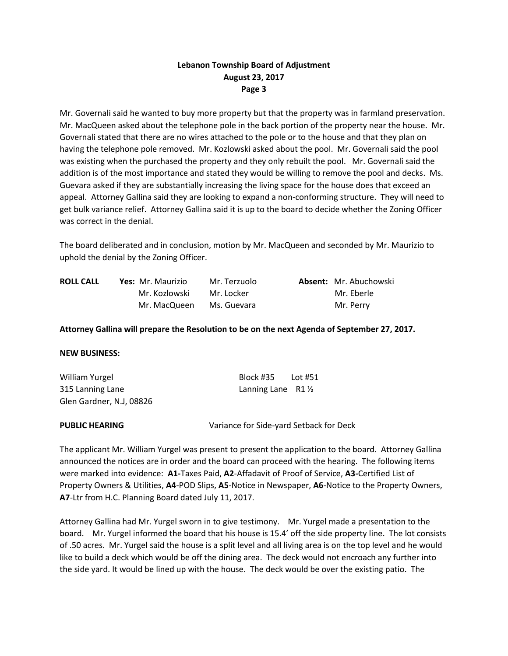Mr. Governali said he wanted to buy more property but that the property was in farmland preservation. Mr. MacQueen asked about the telephone pole in the back portion of the property near the house. Mr. Governali stated that there are no wires attached to the pole or to the house and that they plan on having the telephone pole removed. Mr. Kozlowski asked about the pool. Mr. Governali said the pool was existing when the purchased the property and they only rebuilt the pool. Mr. Governali said the addition is of the most importance and stated they would be willing to remove the pool and decks. Ms. Guevara asked if they are substantially increasing the living space for the house does that exceed an appeal. Attorney Gallina said they are looking to expand a non-conforming structure. They will need to get bulk variance relief. Attorney Gallina said it is up to the board to decide whether the Zoning Officer was correct in the denial.

The board deliberated and in conclusion, motion by Mr. MacQueen and seconded by Mr. Maurizio to uphold the denial by the Zoning Officer.

| <b>ROLL CALL</b> | Yes: Mr. Maurizio | Mr. Terzuolo | <b>Absent:</b> Mr. Abuchowski |
|------------------|-------------------|--------------|-------------------------------|
|                  | Mr. Kozlowski     | Mr. Locker   | Mr. Eberle                    |
|                  | Mr. MacQueen      | Ms. Guevara  | Mr. Perry                     |

## **Attorney Gallina will prepare the Resolution to be on the next Agenda of September 27, 2017.**

### **NEW BUSINESS:**

| William Yurgel           | Block #35                    | Lot #51 |
|--------------------------|------------------------------|---------|
| 315 Lanning Lane         | Lanning Lane $R1\frac{1}{2}$ |         |
| Glen Gardner, N.J, 08826 |                              |         |

**PUBLIC HEARING** Variance for Side-yard Setback for Deck

The applicant Mr. William Yurgel was present to present the application to the board. Attorney Gallina announced the notices are in order and the board can proceed with the hearing. The following items were marked into evidence: **A1-**Taxes Paid, **A2**-Affadavit of Proof of Service, **A3-**Certified List of Property Owners & Utilities, **A4**-POD Slips, **A5**-Notice in Newspaper, **A6**-Notice to the Property Owners, **A7**-Ltr from H.C. Planning Board dated July 11, 2017.

Attorney Gallina had Mr. Yurgel sworn in to give testimony. Mr. Yurgel made a presentation to the board. Mr. Yurgel informed the board that his house is 15.4' off the side property line. The lot consists of .50 acres. Mr. Yurgel said the house is a split level and all living area is on the top level and he would like to build a deck which would be off the dining area. The deck would not encroach any further into the side yard. It would be lined up with the house. The deck would be over the existing patio. The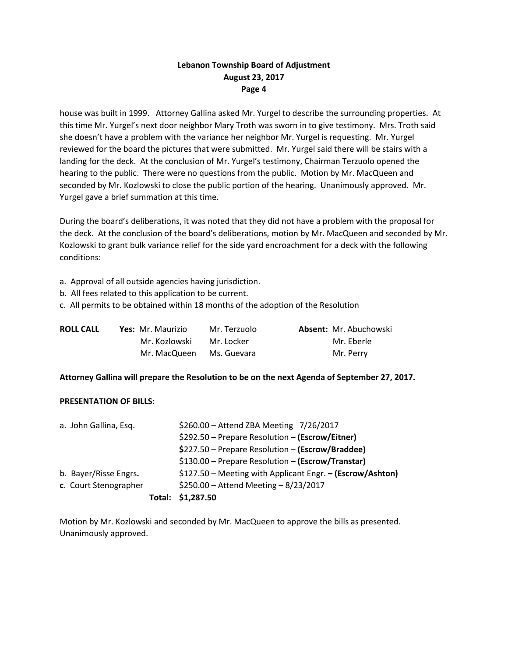house was built in 1999. Attorney Gallina asked Mr. Yurgel to describe the surrounding properties. At this time Mr. Yurgel's next door neighbor Mary Troth was sworn in to give testimony. Mrs. Troth said she doesn't have a problem with the variance her neighbor Mr. Yurgel is requesting. Mr. Yurgel reviewed for the board the pictures that were submitted. Mr. Yurgel said there will be stairs with a landing for the deck. At the conclusion of Mr. Yurgel's testimony, Chairman Terzuolo opened the hearing to the public. There were no questions from the public. Motion by Mr. MacQueen and seconded by Mr. Kozlowski to close the public portion of the hearing. Unanimously approved. Mr. Yurgel gave a brief summation at this time.

During the board's deliberations, it was noted that they did not have a problem with the proposal for the deck. At the conclusion of the board's deliberations, motion by Mr. MacQueen and seconded by Mr. Kozlowski to grant bulk variance relief for the side yard encroachment for a deck with the following conditions:

- a. Approval of all outside agencies having jurisdiction.
- b. All fees related to this application to be current.
- c. All permits to be obtained within 18 months of the adoption of the Resolution

| <b>ROLL CALL</b> | <b>Yes: Mr. Maurizio</b> | Mr. Terzuolo | <b>Absent: Mr. Abuchowski</b> |
|------------------|--------------------------|--------------|-------------------------------|
|                  | Mr. Kozlowski            | Mr. Locker   | Mr. Eberle                    |
|                  | Mr. MacQueen             | Ms. Guevara  | Mr. Perry                     |

## **Attorney Gallina will prepare the Resolution to be on the next Agenda of September 27, 2017.**

## **PRESENTATION OF BILLS:**

|                       |                       | Total: | \$1,287.50                                                |
|-----------------------|-----------------------|--------|-----------------------------------------------------------|
|                       | c. Court Stenographer |        | \$250.00 - Attend Meeting - $8/23/2017$                   |
| b. Bayer/Risse Engrs. |                       |        | \$127.50 – Meeting with Applicant Engr. – (Escrow/Ashton) |
|                       |                       |        | \$130.00 - Prepare Resolution - (Escrow/Transtar)         |
|                       |                       |        | \$227.50 – Prepare Resolution – (Escrow/Braddee)          |
|                       |                       |        | \$292.50 – Prepare Resolution – (Escrow/Eitner)           |
| a. John Gallina, Esq. |                       |        | \$260.00 - Attend ZBA Meeting 7/26/2017                   |

Motion by Mr. Kozlowski and seconded by Mr. MacQueen to approve the bills as presented. Unanimously approved.